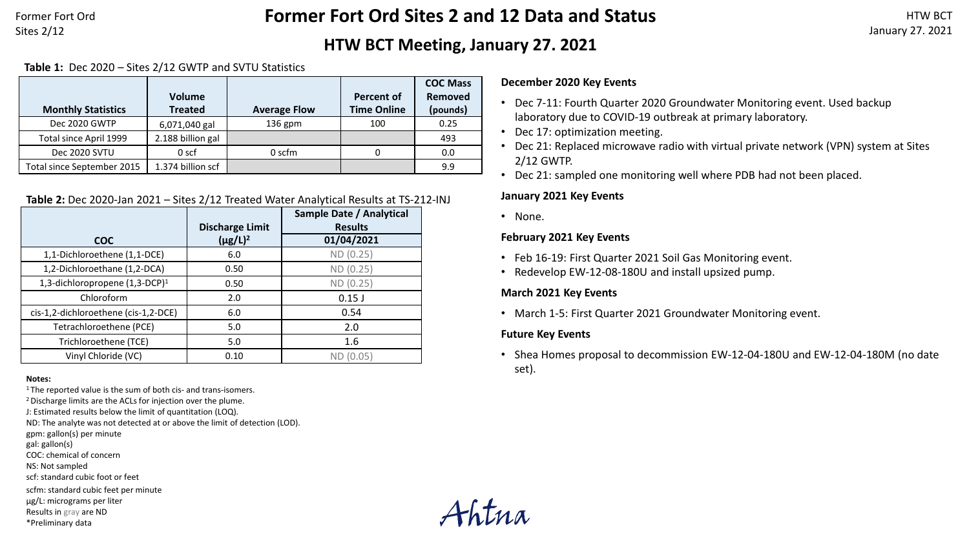Former Fort Ord Sites 2/12

# **Former Fort Ord Sites 2 and 12 Data and Status**

# **HTW BCT Meeting, January 27. 2021**

#### **Table 1:** Dec 2020 – Sites 2/12 GWTP and SVTU Statistics

|                            |                   |                     |                    | <b>COC Mass</b> |
|----------------------------|-------------------|---------------------|--------------------|-----------------|
|                            | <b>Volume</b>     |                     | <b>Percent of</b>  | Removed         |
| <b>Monthly Statistics</b>  | <b>Treated</b>    | <b>Average Flow</b> | <b>Time Online</b> | (pounds)        |
| Dec 2020 GWTP              | 6,071,040 gal     | 136 gpm             | 100                | 0.25            |
| Total since April 1999     | 2.188 billion gal |                     |                    | 493             |
| Dec 2020 SVTU              | 0 <sub>scf</sub>  | 0 scfm              |                    | 0.0             |
| Total since September 2015 | 1.374 billion scf |                     |                    | 9.9             |

#### **Table 2:** Dec 2020-Jan 2021 – Sites 2/12 Treated Water Analytical Results at TS-212-INJ

|                                            | <b>Discharge Limit</b> | Sample Date / Analytical<br><b>Results</b> |
|--------------------------------------------|------------------------|--------------------------------------------|
| <b>COC</b>                                 | $(\mu g/L)^2$          | 01/04/2021                                 |
| 1,1-Dichloroethene (1,1-DCE)               | 6.0                    | ND (0.25)                                  |
| 1,2-Dichloroethane (1,2-DCA)               | 0.50                   | ND (0.25)                                  |
| 1,3-dichloropropene (1,3-DCP) <sup>1</sup> | 0.50                   | ND (0.25)                                  |
| Chloroform                                 | 2.0                    | $0.15$ J                                   |
| cis-1,2-dichloroethene (cis-1,2-DCE)       | 6.0                    | 0.54                                       |
| Tetrachloroethene (PCE)                    | 5.0                    | 2.0                                        |
| Trichloroethene (TCE)                      | 5.0                    | 1.6                                        |
| Vinyl Chloride (VC)                        | 0.10                   | ND (0.05)                                  |

#### **Notes:**

 $1$ <sup>1</sup> The reported value is the sum of both cis- and trans-isomers.

2 Discharge limits are the ACLs for injection over the plume.

J: Estimated results below the limit of quantitation (LOQ).

ND: The analyte was not detected at or above the limit of detection (LOD).

gpm: gallon(s) per minute

gal: gallon(s)

COC: chemical of concern

NS: Not sampled

scf: standard cubic foot or feet

scfm: standard cubic feet per minute

µg/L: micrograms per liter

Results in gray are ND

\*Preliminary data

Fhtna

#### **December 2020 Key Events**

- Dec 7-11: Fourth Quarter 2020 Groundwater Monitoring event. Used backup laboratory due to COVID-19 outbreak at primary laboratory.
- Dec 17: optimization meeting.
- Dec 21: Replaced microwave radio with virtual private network (VPN) system at Sites 2/12 GWTP.
- Dec 21: sampled one monitoring well where PDB had not been placed.

#### **January 2021 Key Events**

• None.

#### **February 2021 Key Events**

- Feb 16-19: First Quarter 2021 Soil Gas Monitoring event.
- Redevelop EW-12-08-180U and install upsized pump.

#### **March 2021 Key Events**

• March 1-5: First Quarter 2021 Groundwater Monitoring event.

#### **Future Key Events**

• Shea Homes proposal to decommission EW-12-04-180U and EW-12-04-180M (no date set).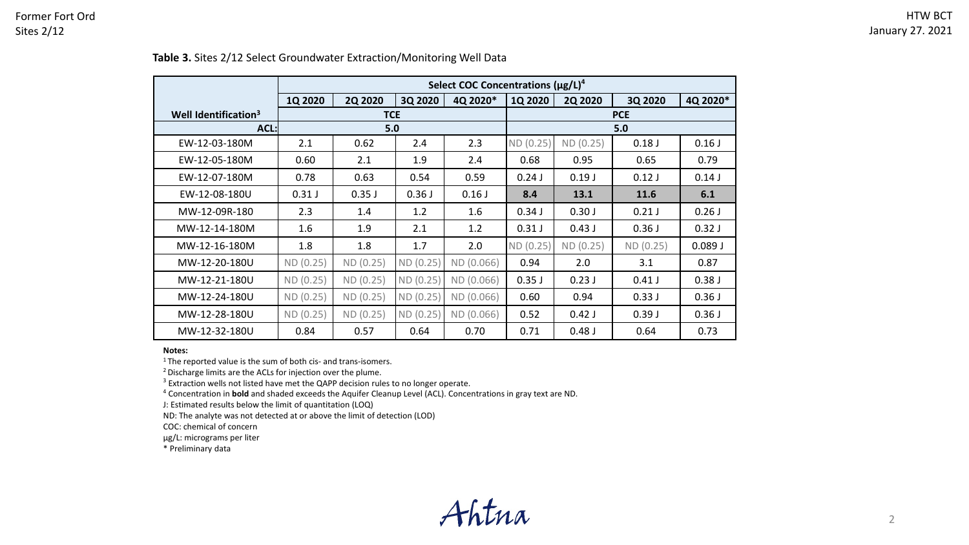|                                  | Select COC Concentrations $(\mu g/L)^4$ |                |           |            |           |                |           |          |  |
|----------------------------------|-----------------------------------------|----------------|-----------|------------|-----------|----------------|-----------|----------|--|
|                                  | 1Q 2020                                 | <b>2Q 2020</b> | 3Q 2020   | 4Q 2020*   | 1Q 2020   | <b>2Q 2020</b> | 3Q 2020   | 4Q 2020* |  |
| Well Identification <sup>3</sup> |                                         | <b>TCE</b>     |           |            |           | <b>PCE</b>     |           |          |  |
| $ACL$ :                          | 5.0                                     |                |           |            | 5.0       |                |           |          |  |
| EW-12-03-180M                    | 2.1                                     | 0.62           | 2.4       | 2.3        | ND (0.25) | ND (0.25)      | 0.18J     | 0.16J    |  |
| EW-12-05-180M                    | 0.60                                    | 2.1            | 1.9       | 2.4        | 0.68      | 0.95           | 0.65      | 0.79     |  |
| EW-12-07-180M                    | 0.78                                    | 0.63           | 0.54      | 0.59       | 0.24J     | 0.19J          | 0.12J     | 0.14J    |  |
| EW-12-08-180U                    | 0.31J                                   | 0.35J          | 0.36J     | 0.16J      | 8.4       | 13.1           | 11.6      | 6.1      |  |
| MW-12-09R-180                    | 2.3                                     | 1.4            | 1.2       | 1.6        | 0.34J     | 0.30J          | 0.21J     | 0.26J    |  |
| MW-12-14-180M                    | 1.6                                     | 1.9            | 2.1       | 1.2        | 0.31J     | 0.43J          | 0.36J     | 0.32J    |  |
| MW-12-16-180M                    | 1.8                                     | 1.8            | 1.7       | 2.0        | ND (0.25) | ND (0.25)      | ND (0.25) | 0.089J   |  |
| MW-12-20-180U                    | ND (0.25)                               | ND (0.25)      | ND (0.25) | ND (0.066) | 0.94      | 2.0            | 3.1       | 0.87     |  |
| MW-12-21-180U                    | ND (0.25)                               | ND (0.25)      | ND(0.25)  | ND (0.066) | 0.35J     | 0.23J          | 0.41J     | 0.38J    |  |
| MW-12-24-180U                    | ND (0.25)                               | ND (0.25)      | ND(0.25)  | ND (0.066) | 0.60      | 0.94           | 0.33J     | 0.36J    |  |
| MW-12-28-180U                    | ND (0.25)                               | ND (0.25)      | ND(0.25)  | ND (0.066) | 0.52      | 0.42J          | 0.39J     | 0.36J    |  |
| MW-12-32-180U                    | 0.84                                    | 0.57           | 0.64      | 0.70       | 0.71      | 0.48J          | 0.64      | 0.73     |  |

## **Table 3.** Sites 2/12 Select Groundwater Extraction/Monitoring Well Data

**Notes:**

<sup>1</sup> The reported value is the sum of both cis- and trans-isomers.

<sup>2</sup> Discharge limits are the ACLs for injection over the plume.

 $3$  Extraction wells not listed have met the QAPP decision rules to no longer operate.

<sup>4</sup> Concentration in **bold** and shaded exceeds the Aquifer Cleanup Level (ACL). Concentrations in gray text are ND.

J: Estimated results below the limit of quantitation (LOQ)

ND: The analyte was not detected at or above the limit of detection (LOD)

COC: chemical of concern

µg/L: micrograms per liter

\* Preliminary data

Ahtna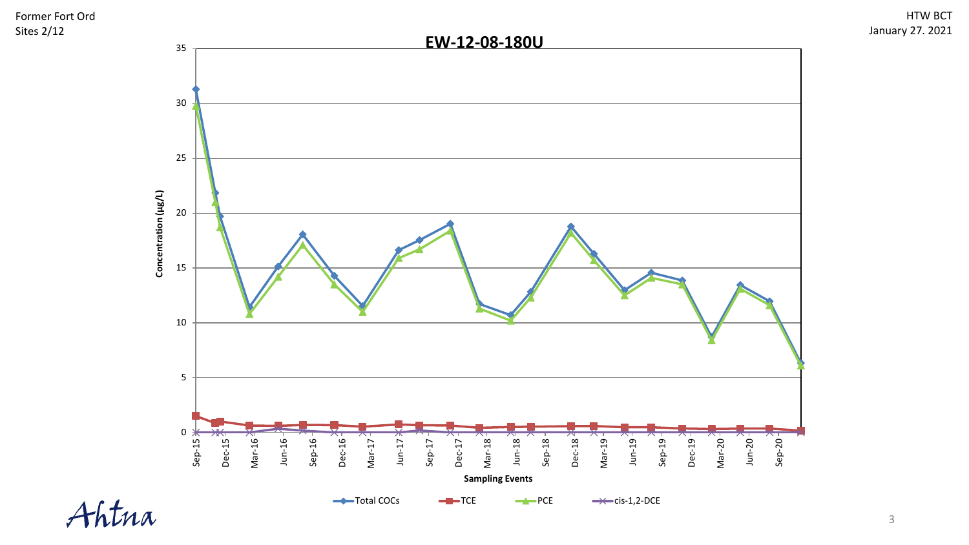

3

### HTW BCT January 27. 2021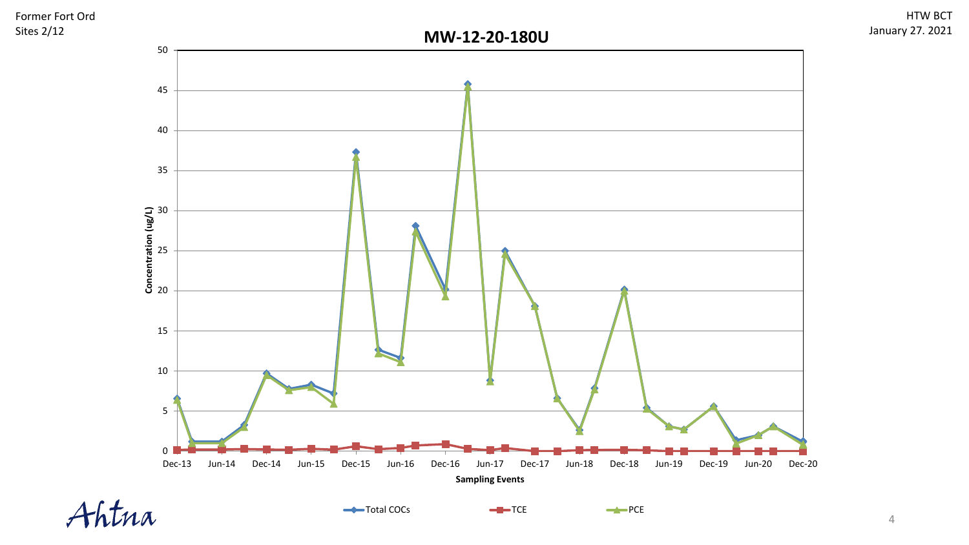



HTW BCT

January 27. 2021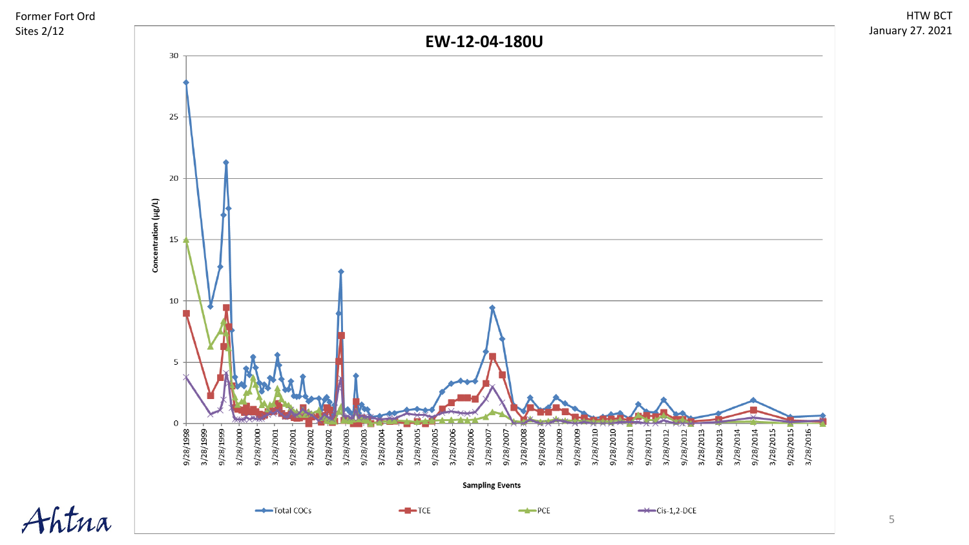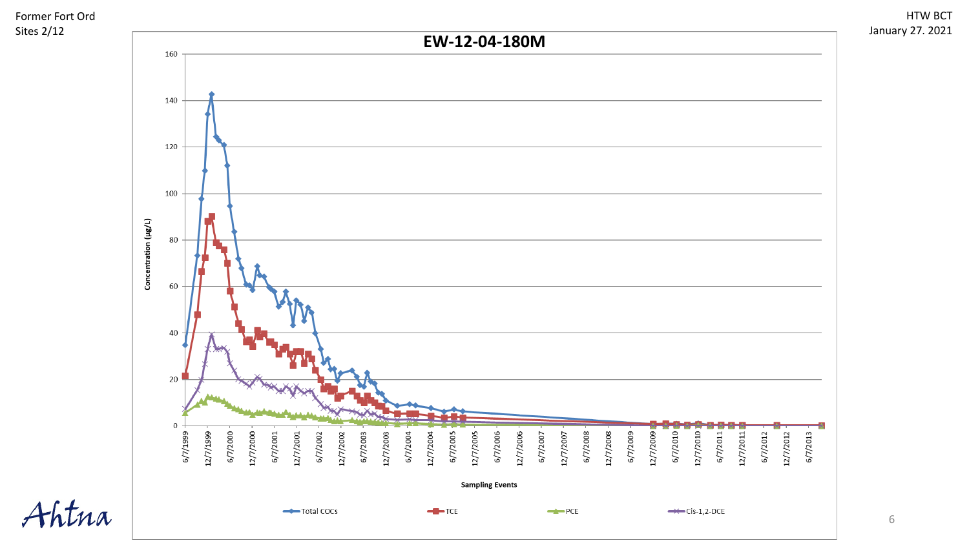





6